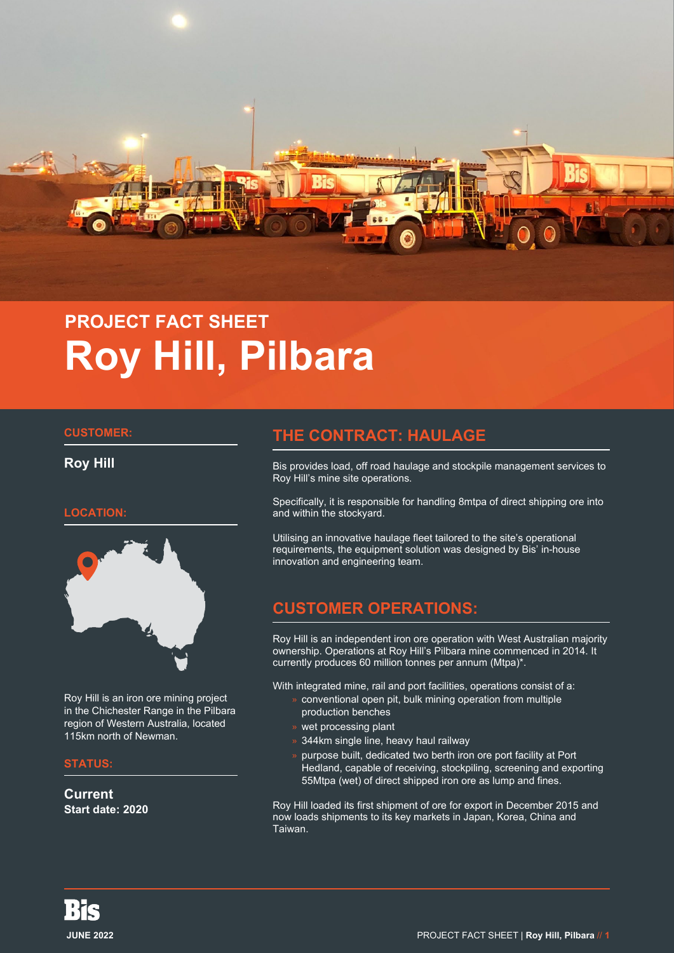

# **PROJECT FACT SHEET Roy Hill, Pilbara**

#### **CUSTOMER:**

**Roy Hill**

#### **LOCATION:**



Roy Hill is an iron ore mining project in the Chichester Range in the Pilbara region of Western Australia, located 115km north of Newman.

#### **STATUS:**

**Current Start date: 2020**

## **THE CONTRACT: HAULAGE**

Bis provides load, off road haulage and stockpile management services to Roy Hill's mine site operations.

Specifically, it is responsible for handling 8mtpa of direct shipping ore into and within the stockyard.

Utilising an innovative haulage fleet tailored to the site's operational requirements, the equipment solution was designed by Bis' in-house innovation and engineering team.

## **CUSTOMER OPERATIONS:**

Roy Hill is an independent iron ore operation with West Australian majority ownership. Operations at Roy Hill's Pilbara mine commenced in 2014. It currently produces 60 million tonnes per annum (Mtpa)\*.

With integrated mine, rail and port facilities, operations consist of a:

- » conventional open pit, bulk mining operation from multiple production benches
- » wet processing plant
- » 344km single line, heavy haul railway
- purpose built, dedicated two berth iron ore port facility at Port Hedland, capable of receiving, stockpiling, screening and exporting 55Mtpa (wet) of direct shipped iron ore as lump and fines.

Roy Hill loaded its first shipment of ore for export in December 2015 and now loads shipments to its key markets in Japan, Korea, China and Taiwan.